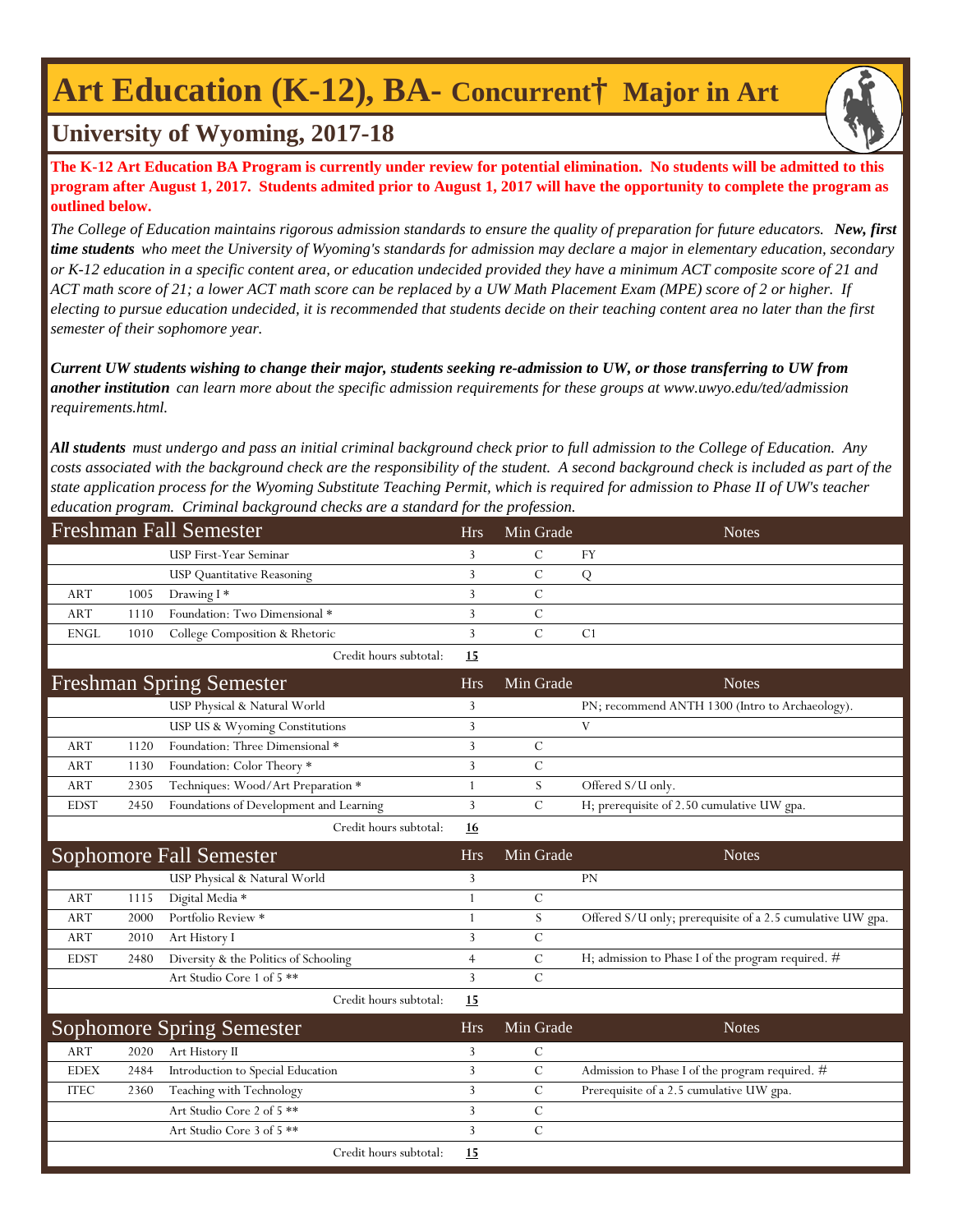## **Art Education (K-12), BA- Concurrent† Major in Art**



### **University of Wyoming, 2017-18**

**The K-12 Art Education BA Program is currently under review for potential elimination. No students will be admitted to this program after August 1, 2017. Students admited prior to August 1, 2017 will have the opportunity to complete the program as outlined below.**

*The College of Education maintains rigorous admission standards to ensure the quality of preparation for future educators. New, first time students who meet the University of Wyoming's standards for admission may declare a major in elementary education, secondary or K-12 education in a specific content area, or education undecided provided they have a minimum ACT composite score of 21 and ACT math score of 21; a lower ACT math score can be replaced by a UW Math Placement Exam (MPE) score of 2 or higher. If electing to pursue education undecided, it is recommended that students decide on their teaching content area no later than the first semester of their sophomore year.*

*Current UW students wishing to change their major, students seeking re-admission to UW, or those transferring to UW from another institution can learn more about the specific admission requirements for these groups at www.uwyo.edu/ted/admission requirements.html.* 

*All students must undergo and pass an initial criminal background check prior to full admission to the College of Education. Any costs associated with the background check are the responsibility of the student. A second background check is included as part of the state application process for the Wyoming Substitute Teaching Permit, which is required for admission to Phase II of UW's teacher education program. Criminal background checks are a standard for the profession.*

| <b>Freshman Fall Semester</b> |      |                                         | <b>Hrs</b>     | Min Grade     | <b>Notes</b>                                               |
|-------------------------------|------|-----------------------------------------|----------------|---------------|------------------------------------------------------------|
|                               |      | USP First-Year Seminar                  | 3              | $\mathcal{C}$ | FY                                                         |
|                               |      | <b>USP</b> Quantitative Reasoning       | $\overline{3}$ | $\mathcal{C}$ | Q                                                          |
| <b>ART</b>                    | 1005 | Drawing I*                              | 3              | $\mathcal{C}$ |                                                            |
| <b>ART</b>                    | 1110 | Foundation: Two Dimensional *           | 3              | $\mathcal{C}$ |                                                            |
| <b>ENGL</b>                   | 1010 | College Composition & Rhetoric          | 3              | $\mathcal{C}$ | C <sub>1</sub>                                             |
|                               |      | Credit hours subtotal:                  | 15             |               |                                                            |
|                               |      | <b>Freshman Spring Semester</b>         | <b>Hrs</b>     | Min Grade     | <b>Notes</b>                                               |
|                               |      | USP Physical & Natural World            | 3              |               | PN; recommend ANTH 1300 (Intro to Archaeology).            |
|                               |      | USP US & Wyoming Constitutions          | 3              |               | V                                                          |
| <b>ART</b>                    | 1120 | Foundation: Three Dimensional *         | 3              | C             |                                                            |
| <b>ART</b>                    | 1130 | Foundation: Color Theory *              | 3              | $\mathcal{C}$ |                                                            |
| ART                           | 2305 | Techniques: Wood/Art Preparation *      | 1              | S             | Offered S/U only.                                          |
| <b>EDST</b>                   | 2450 | Foundations of Development and Learning | 3              | $\mathcal{C}$ | H; prerequisite of 2.50 cumulative UW gpa.                 |
|                               |      | Credit hours subtotal:                  | 16             |               |                                                            |
|                               |      |                                         |                |               |                                                            |
|                               |      | Sophomore Fall Semester                 | <b>Hrs</b>     | Min Grade     | <b>Notes</b>                                               |
|                               |      | USP Physical & Natural World            | 3              |               | PN                                                         |
| <b>ART</b>                    | 1115 | Digital Media *                         | 1              | $\mathcal{C}$ |                                                            |
| <b>ART</b>                    | 2000 | Portfolio Review *                      | 1              | S             | Offered S/U only; prerequisite of a 2.5 cumulative UW gpa. |
| <b>ART</b>                    | 2010 | Art History I                           | 3              | $\mathcal{C}$ |                                                            |
| <b>EDST</b>                   | 2480 | Diversity & the Politics of Schooling   | 4              | $\mathcal{C}$ | H; admission to Phase I of the program required. #         |
|                               |      | Art Studio Core 1 of 5 **               | 3              | $\mathcal{C}$ |                                                            |
|                               |      | Credit hours subtotal:                  | 15             |               |                                                            |
|                               |      | <b>Sophomore Spring Semester</b>        | <b>Hrs</b>     | Min Grade     | <b>Notes</b>                                               |
| <b>ART</b>                    | 2020 | Art History II                          | 3              | $\mathcal{C}$ |                                                            |
| <b>EDEX</b>                   | 2484 | Introduction to Special Education       | 3              | $\mathbf C$   | Admission to Phase I of the program required. #            |
| <b>ITEC</b>                   | 2360 | Teaching with Technology                | 3              | C             | Prerequisite of a 2.5 cumulative UW gpa.                   |
|                               |      | Art Studio Core 2 of 5 **               | $\overline{3}$ | $\mathcal{C}$ |                                                            |
|                               |      | Art Studio Core 3 of 5 **               | 3              | $\mathcal{C}$ |                                                            |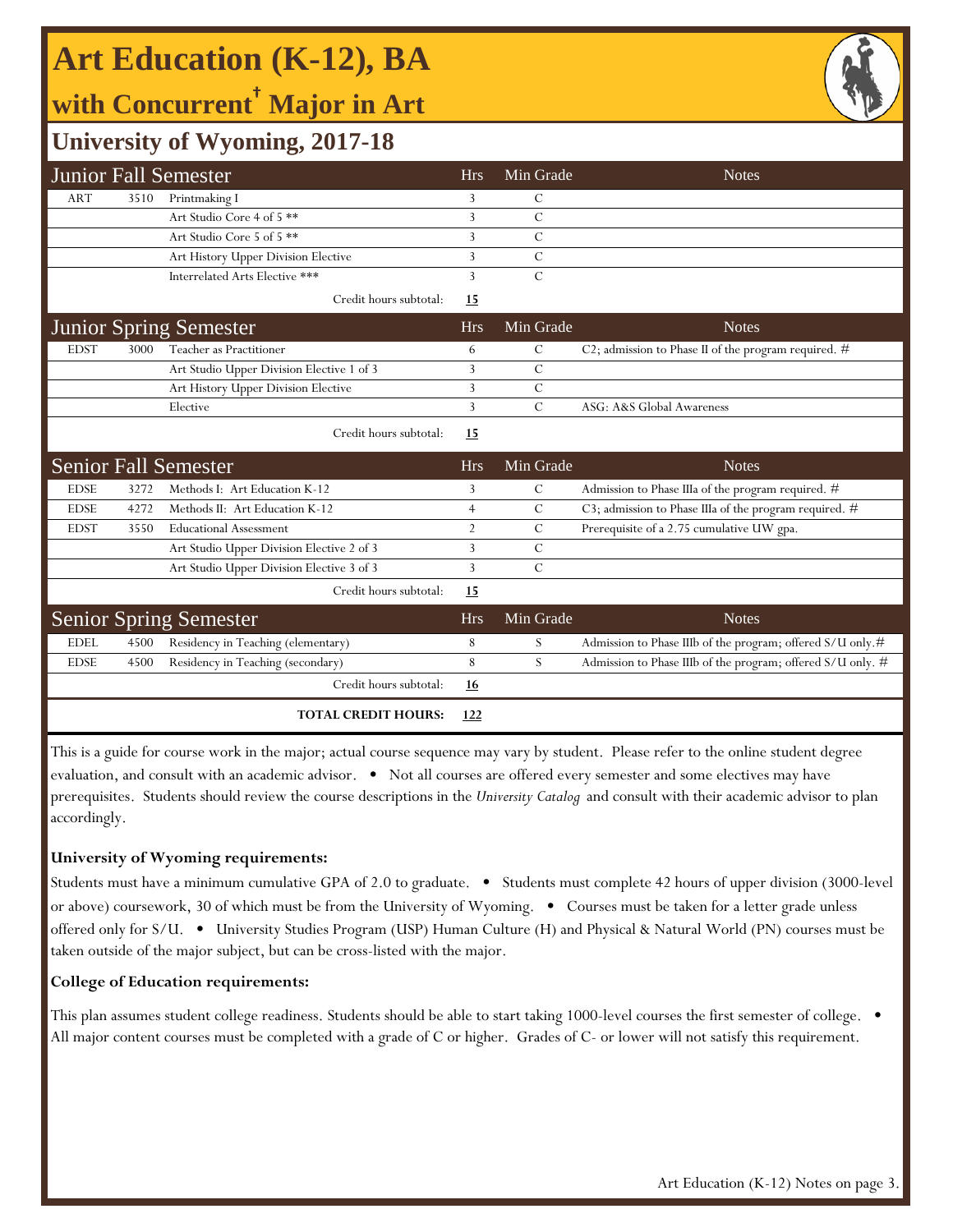# **Art Education (K-12), BA**

**with Concurrent† Major in Art**



## **University of Wyoming, 2017-18**

|             |      | <b>Junior Fall Semester</b>               | <b>Hrs</b>     | Min Grade      | <b>Notes</b>                                                |
|-------------|------|-------------------------------------------|----------------|----------------|-------------------------------------------------------------|
| <b>ART</b>  | 3510 | Printmaking I                             | 3              | C              |                                                             |
|             |      | Art Studio Core 4 of 5 **                 | 3              | $\overline{C}$ |                                                             |
|             |      | Art Studio Core 5 of 5 <sup>**</sup>      | 3              | $\mathcal{C}$  |                                                             |
|             |      | Art History Upper Division Elective       | 3              | C              |                                                             |
|             |      | Interrelated Arts Elective ***            | 3              | $\mathcal{C}$  |                                                             |
|             |      | Credit hours subtotal:                    | <u>15</u>      |                |                                                             |
|             |      | <b>Junior Spring Semester</b>             | <b>Hrs</b>     | Min Grade      | <b>Notes</b>                                                |
| <b>EDST</b> | 3000 | Teacher as Practitioner                   | 6              | $\mathcal{C}$  | C2; admission to Phase II of the program required. #        |
|             |      | Art Studio Upper Division Elective 1 of 3 | 3              | C              |                                                             |
|             |      | Art History Upper Division Elective       | 3              | $\mathcal{C}$  |                                                             |
|             |      | Elective                                  | 3              | $\mathcal{C}$  | ASG: A&S Global Awareness                                   |
|             |      | Credit hours subtotal:                    | 15             |                |                                                             |
|             |      | <b>Senior Fall Semester</b>               | <b>Hrs</b>     | Min Grade      | <b>Notes</b>                                                |
| <b>EDSE</b> | 3272 | Methods I: Art Education K-12             | 3              | C              | Admission to Phase IIIa of the program required. #          |
| <b>EDSE</b> | 4272 | Methods II: Art Education K-12            | $\overline{4}$ | $\mathcal{C}$  | C3; admission to Phase IIIa of the program required. #      |
| <b>EDST</b> | 3550 | <b>Educational Assessment</b>             | $\overline{2}$ | $\mathcal{C}$  | Prerequisite of a 2.75 cumulative UW gpa.                   |
|             |      | Art Studio Upper Division Elective 2 of 3 | 3              | $\mathcal{C}$  |                                                             |
|             |      | Art Studio Upper Division Elective 3 of 3 | 3              | $\mathcal{C}$  |                                                             |
|             |      | Credit hours subtotal:                    | 15             |                |                                                             |
|             |      | <b>Senior Spring Semester</b>             | <b>Hrs</b>     | Min Grade      | <b>Notes</b>                                                |
| <b>EDEL</b> | 4500 | Residency in Teaching (elementary)        | 8              | S              | Admission to Phase IIIb of the program; offered S/U only.#  |
| <b>EDSE</b> | 4500 | Residency in Teaching (secondary)         | 8              | S              | Admission to Phase IIIb of the program; offered S/U only. # |
|             |      | Credit hours subtotal:                    | <u>16</u>      |                |                                                             |
|             |      | <b>TOTAL CREDIT HOURS:</b>                | 122            |                |                                                             |

This is a guide for course work in the major; actual course sequence may vary by student. Please refer to the online student degree evaluation, and consult with an academic advisor. • Not all courses are offered every semester and some electives may have prerequisites. Students should review the course descriptions in the *University Catalog* and consult with their academic advisor to plan accordingly.

### **University of Wyoming requirements:**

Students must have a minimum cumulative GPA of 2.0 to graduate. • Students must complete 42 hours of upper division (3000-level or above) coursework, 30 of which must be from the University of Wyoming. • Courses must be taken for a letter grade unless offered only for S/U. • University Studies Program (USP) Human Culture (H) and Physical & Natural World (PN) courses must be taken outside of the major subject, but can be cross-listed with the major.

### **College of Education requirements:**

This plan assumes student college readiness. Students should be able to start taking 1000-level courses the first semester of college.  $\bullet$ All major content courses must be completed with a grade of C or higher. Grades of C- or lower will not satisfy this requirement.